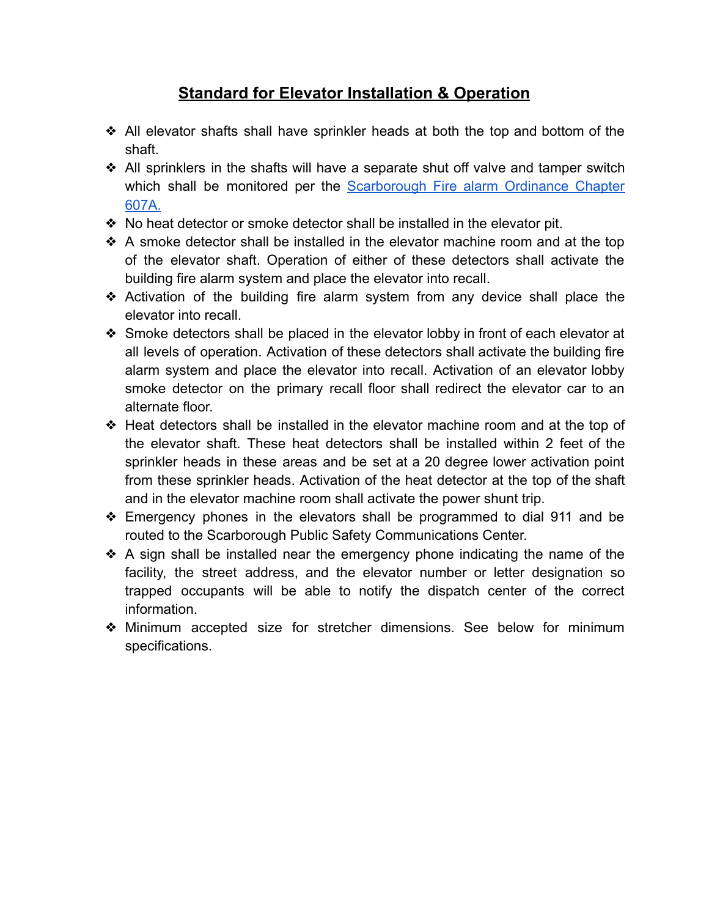## **Standard for Elevator Installation & Operation**

- ❖ All elevator shafts shall have sprinkler heads at both the top and bottom of the shaft.
- ❖ All sprinklers in the shafts will have a separate shut off valve and tamper switch which shall be monitored per the [Scarborough](https://resources.finalsite.net/images/v1634836875/scarboroughmaineorg/n9rrhzmfvh05cmblizfl/607A-Fire-Supression-and-Detection-Ordinance.pdf) Fire alarm Ordinance Chapter [607A.](https://resources.finalsite.net/images/v1634836875/scarboroughmaineorg/n9rrhzmfvh05cmblizfl/607A-Fire-Supression-and-Detection-Ordinance.pdf)
- ❖ No heat detector or smoke detector shall be installed in the elevator pit.
- ❖ A smoke detector shall be installed in the elevator machine room and at the top of the elevator shaft. Operation of either of these detectors shall activate the building fire alarm system and place the elevator into recall.
- ❖ Activation of the building fire alarm system from any device shall place the elevator into recall.
- ❖ Smoke detectors shall be placed in the elevator lobby in front of each elevator at all levels of operation. Activation of these detectors shall activate the building fire alarm system and place the elevator into recall. Activation of an elevator lobby smoke detector on the primary recall floor shall redirect the elevator car to an alternate floor.
- ❖ Heat detectors shall be installed in the elevator machine room and at the top of the elevator shaft. These heat detectors shall be installed within 2 feet of the sprinkler heads in these areas and be set at a 20 degree lower activation point from these sprinkler heads. Activation of the heat detector at the top of the shaft and in the elevator machine room shall activate the power shunt trip.
- ❖ Emergency phones in the elevators shall be programmed to dial 911 and be routed to the Scarborough Public Safety Communications Center.
- ❖ A sign shall be installed near the emergency phone indicating the name of the facility, the street address, and the elevator number or letter designation so trapped occupants will be able to notify the dispatch center of the correct information.
- ❖ Minimum accepted size for stretcher dimensions. See below for minimum specifications.